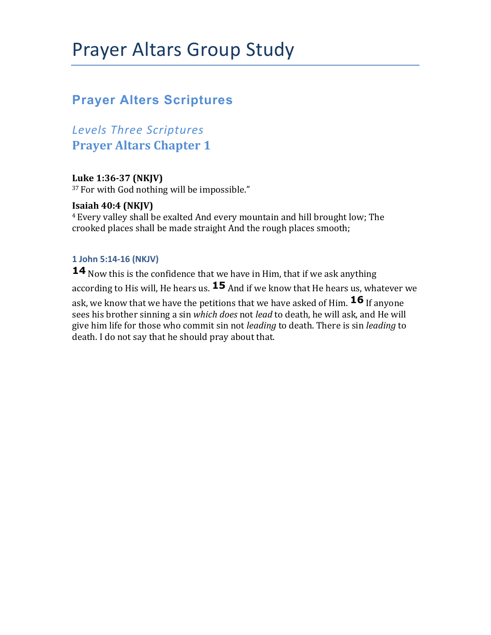# **Prayer Alters Scriptures**

*Levels Three Scriptures* **Prayer Altars Chapter 1** 

#### Luke 1:36-37 (NKJV)

<sup>37</sup> For with God nothing will be impossible."

#### **Isaiah 40:4 (NKJV)**

<sup>4</sup> Every valley shall be exalted And every mountain and hill brought low; The crooked places shall be made straight And the rough places smooth;

#### **1 John 5:14-16 (NKJV)**

**14** Now this is the confidence that we have in Him, that if we ask anything according to His will, He hears us.  $15$  And if we know that He hears us, whatever we ask, we know that we have the petitions that we have asked of Him.  $\overline{16}$  If anyone sees his brother sinning a sin *which does* not *lead* to death, he will ask, and He will give him life for those who commit sin not *leading* to death. There is sin *leading* to death. I do not say that he should pray about that.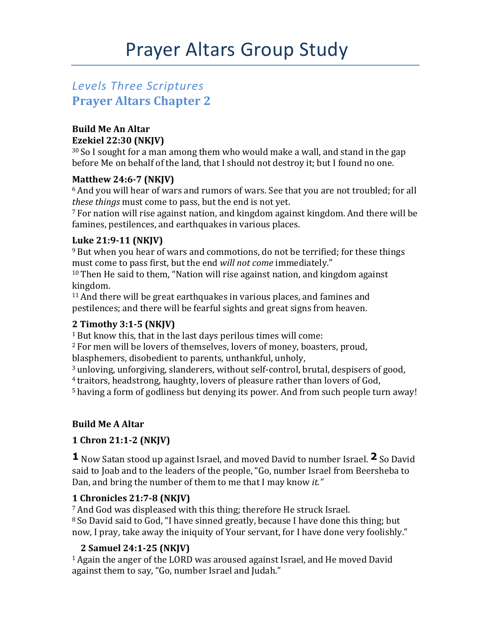# *Levels Three Scriptures* **Prayer Altars Chapter 2**

#### **Build Me An Altar Ezekiel 22:30 (NKJV)**

 $30$  So I sought for a man among them who would make a wall, and stand in the gap before Me on behalf of the land, that I should not destroy it; but I found no one.

#### **Matthew 24:6-7 (NKJV)**

 $6$  And you will hear of wars and rumors of wars. See that you are not troubled; for all *these things* must come to pass, but the end is not yet.

 $7$  For nation will rise against nation, and kingdom against kingdom. And there will be famines, pestilences, and earthquakes in various places.

### Luke 21:9-11 (NKJV)

 $9$  But when you hear of wars and commotions, do not be terrified; for these things must come to pass first, but the end *will not come* immediately."

 $10$  Then He said to them, "Nation will rise against nation, and kingdom against kingdom. 

 $11$  And there will be great earthquakes in various places, and famines and pestilences; and there will be fearful sights and great signs from heaven.

#### **2 Timothy 3:1-5 (NKJV)**

 $1$  But know this, that in the last days perilous times will come:

<sup>2</sup> For men will be lovers of themselves, lovers of money, boasters, proud, blasphemers, disobedient to parents, unthankful, unholy,

<sup>3</sup> unloving, unforgiving, slanderers, without self-control, brutal, despisers of good, <sup>4</sup> traitors, headstrong, haughty, lovers of pleasure rather than lovers of God, <sup>5</sup> having a form of godliness but denying its power. And from such people turn away!

## **Build Me A Altar**

## **1 Chron 21:1-2 (NKJV)**

**1** Now Satan stood up against Israel, and moved David to number Israel. **2** So David said to Joab and to the leaders of the people, "Go, number Israel from Beersheba to Dan, and bring the number of them to me that I may know *it.*"

#### **1 Chronicles 21:7-8 (NKJV)**

<sup>7</sup> And God was displeased with this thing; therefore He struck Israel.  $8$  So David said to God, "I have sinned greatly, because I have done this thing; but now, I pray, take away the iniquity of Your servant, for I have done very foolishly."

## **2 Samuel 24:1-25 (NKJV)**

 $1$  Again the anger of the LORD was aroused against Israel, and He moved David against them to say, "Go, number Israel and Judah."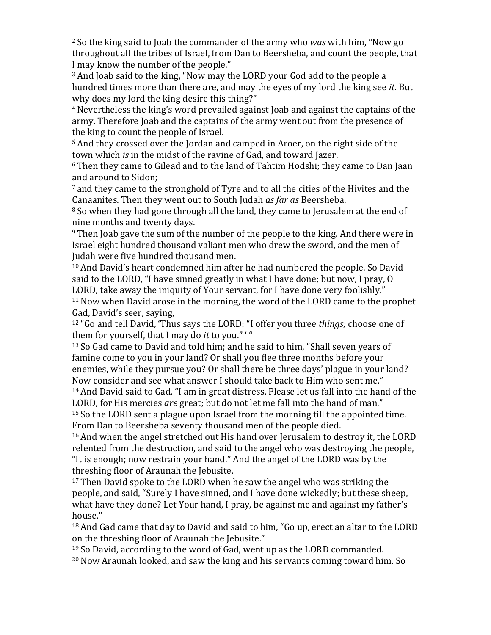$2$  So the king said to Joab the commander of the army who *was* with him, "Now go throughout all the tribes of Israel, from Dan to Beersheba, and count the people, that I may know the number of the people."

<sup>3</sup> And Joab said to the king, "Now may the LORD your God add to the people a hundred times more than there are, and may the eyes of my lord the king see *it*. But why does my lord the king desire this thing?"

<sup>4</sup> Nevertheless the king's word prevailed against Joab and against the captains of the army. Therefore Joab and the captains of the army went out from the presence of the king to count the people of Israel.

<sup>5</sup> And they crossed over the Jordan and camped in Aroer, on the right side of the town which *is* in the midst of the ravine of Gad, and toward Jazer.

<sup>6</sup> Then they came to Gilead and to the land of Tahtim Hodshi; they came to Dan Jaan and around to Sidon:

 $<sup>7</sup>$  and they came to the stronghold of Tyre and to all the cities of the Hivites and the</sup> Canaanites. Then they went out to South Judah *as far as* Beersheba.

<sup>8</sup> So when they had gone through all the land, they came to Jerusalem at the end of nine months and twenty days.

 $9$  Then Joab gave the sum of the number of the people to the king. And there were in Israel eight hundred thousand valiant men who drew the sword, and the men of Judah were five hundred thousand men.

 $10$  And David's heart condemned him after he had numbered the people. So David said to the LORD, "I have sinned greatly in what I have done; but now, I pray, O LORD, take away the iniquity of Your servant, for I have done very foolishly."  $11$  Now when David arose in the morning, the word of the LORD came to the prophet Gad, David's seer, saying,

<sup>12</sup> "Go and tell David, 'Thus says the LORD: "I offer you three *things;* choose one of them for yourself, that I may do *it* to you." "

<sup>13</sup> So Gad came to David and told him; and he said to him, "Shall seven years of famine come to you in your land? Or shall you flee three months before your enemies, while they pursue you? Or shall there be three days' plague in your land? Now consider and see what answer I should take back to Him who sent me." <sup>14</sup> And David said to Gad, "I am in great distress. Please let us fall into the hand of the LORD, for His mercies *are* great; but do not let me fall into the hand of man."

 $15$  So the LORD sent a plague upon Israel from the morning till the appointed time. From Dan to Beersheba seventy thousand men of the people died.

<sup>16</sup> And when the angel stretched out His hand over Jerusalem to destroy it, the LORD relented from the destruction, and said to the angel who was destroying the people, "It is enough; now restrain your hand." And the angel of the LORD was by the threshing floor of Araunah the Jebusite.

 $17$  Then David spoke to the LORD when he saw the angel who was striking the people, and said, "Surely I have sinned, and I have done wickedly; but these sheep, what have they done? Let Your hand, I pray, be against me and against my father's house." 

<sup>18</sup> And Gad came that day to David and said to him, "Go up, erect an altar to the LORD on the threshing floor of Araunah the Jebusite."

 $19$  So David, according to the word of Gad, went up as the LORD commanded.

 $20$  Now Araunah looked, and saw the king and his servants coming toward him. So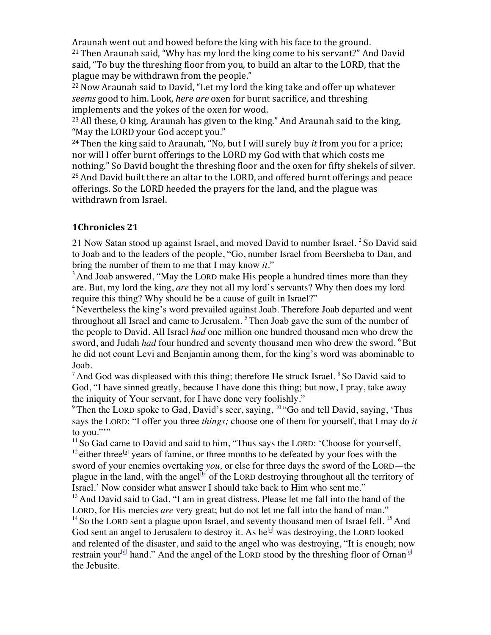Araunah went out and bowed before the king with his face to the ground.  $21$  Then Araunah said, "Why has my lord the king come to his servant?" And David said, "To buy the threshing floor from you, to build an altar to the LORD, that the plague may be withdrawn from the people."

<sup>22</sup> Now Araunah said to David, "Let my lord the king take and offer up whatever *seems* good to him. Look, *here are* oxen for burnt sacrifice, and threshing implements and the yokes of the oxen for wood.

 $23$  All these, O king, Araunah has given to the king." And Araunah said to the king, "May the LORD your God accept you."

<sup>24</sup> Then the king said to Araunah, "No, but I will surely buy *it* from you for a price; nor will I offer burnt offerings to the LORD my God with that which costs me nothing." So David bought the threshing floor and the oxen for fifty shekels of silver.  $25$  And David built there an altar to the LORD, and offered burnt offerings and peace offerings. So the LORD heeded the prayers for the land, and the plague was withdrawn from Israel.

#### **1Chronicles 21**

21 Now Satan stood up against Israel, and moved David to number Israel. <sup>2</sup> So David said to Joab and to the leaders of the people, "Go, number Israel from Beersheba to Dan, and bring the number of them to me that I may know *it.*"

 $3$  And Joab answered, "May the LORD make His people a hundred times more than they are. But, my lord the king, *are* they not all my lord's servants? Why then does my lord require this thing? Why should he be a cause of guilt in Israel?"

<sup>4</sup> Nevertheless the king's word prevailed against Joab. Therefore Joab departed and went throughout all Israel and came to Jerusalem.<sup>5</sup> Then Joab gave the sum of the number of the people to David. All Israel *had* one million one hundred thousand men who drew the sword, and Judah *had* four hundred and seventy thousand men who drew the sword. <sup>6</sup>But he did not count Levi and Benjamin among them, for the king's word was abominable to Joab.

 $<sup>7</sup>$  And God was displeased with this thing; therefore He struck Israel.  $<sup>8</sup>$  So David said to</sup></sup> God, "I have sinned greatly, because I have done this thing; but now, I pray, take away the iniquity of Your servant, for I have done very foolishly."

<sup>9</sup>Then the LORD spoke to Gad, David's seer, saying,  $10$  "Go and tell David, saying, 'Thus says the LORD: "I offer you three *things;* choose one of them for yourself, that I may do *it* to you.""

 $11$  So Gad came to David and said to him, "Thus says the LORD: 'Choose for yourself, <sup>12</sup> either three<sup>[a]</sup> years of famine, or three months to be defeated by your foes with the sword of your enemies overtaking *you,* or else for three days the sword of the LORD—the plague in the land, with the angel<sup>[b]</sup> of the LORD destroying throughout all the territory of Israel.' Now consider what answer I should take back to Him who sent me."

 $<sup>13</sup>$  And David said to Gad, "I am in great distress. Please let me fall into the hand of the</sup> LORD, for His mercies *are* very great; but do not let me fall into the hand of man."

 $14$  So the LORD sent a plague upon Israel, and seventy thousand men of Israel fell.  $15$  And God sent an angel to Jerusalem to destroy it. As  $he^{[c]}$  was destroying, the LORD looked and relented of the disaster, and said to the angel who was destroying, "It is enough; now restrain your<sup>[d]</sup> hand." And the angel of the LORD stood by the threshing floor of Ornan<sup>[e]</sup> the Jebusite.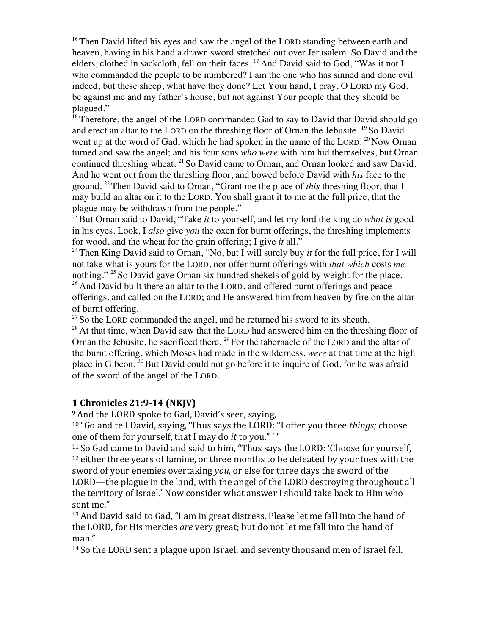$16$ <sup>16</sup>Then David lifted his eyes and saw the angel of the LORD standing between earth and heaven, having in his hand a drawn sword stretched out over Jerusalem. So David and the elders, clothed in sackcloth, fell on their faces. <sup>17</sup> And David said to God, "Was it not I who commanded the people to be numbered? I am the one who has sinned and done evil indeed; but these sheep, what have they done? Let Your hand, I pray, O LORD my God, be against me and my father's house, but not against Your people that they should be plagued."

 $18$ <sup>18</sup>Therefore, the angel of the LORD commanded Gad to say to David that David should go and erect an altar to the LORD on the threshing floor of Ornan the Jebusite. <sup>19</sup> So David went up at the word of Gad, which he had spoken in the name of the LORD.  $^{20}$  Now Ornan turned and saw the angel; and his four sons *who were* with him hid themselves, but Ornan continued threshing wheat. <sup>21</sup> So David came to Ornan, and Ornan looked and saw David. And he went out from the threshing floor, and bowed before David with *his* face to the ground. 22Then David said to Ornan, "Grant me the place of *this* threshing floor, that I may build an altar on it to the LORD. You shall grant it to me at the full price, that the plague may be withdrawn from the people."

<sup>23</sup> But Ornan said to David, "Take *it* to yourself, and let my lord the king do *what is* good in his eyes. Look, I *also* give *you* the oxen for burnt offerings, the threshing implements for wood, and the wheat for the grain offering; I give *it* all."

<sup>24</sup> Then King David said to Ornan, "No, but I will surely buy *it* for the full price, for I will not take what is yours for the LORD, nor offer burnt offerings with *that which* costs *me* nothing." <sup>25</sup> So David gave Ornan six hundred shekels of gold by weight for the place. <sup>26</sup> And David built there an altar to the LORD, and offered burnt offerings and peace offerings, and called on the LORD; and He answered him from heaven by fire on the altar of burnt offering.

 $27$  So the LORD commanded the angel, and he returned his sword to its sheath.

 $^{28}$  At that time, when David saw that the LORD had answered him on the threshing floor of Ornan the Jebusite, he sacrificed there. <sup>29</sup> For the tabernacle of the LORD and the altar of the burnt offering, which Moses had made in the wilderness, *were* at that time at the high place in Gibeon. <sup>30</sup> But David could not go before it to inquire of God, for he was afraid of the sword of the angel of the LORD.

#### **1 Chronicles 21:9-14 (NKJV)**

<sup>9</sup> And the LORD spoke to Gad, David's seer, saying,

<sup>10</sup> "Go and tell David, saying, 'Thus says the LORD: "I offer you three *things;* choose one of them for yourself, that I may do *it* to you." "

<sup>11</sup> So Gad came to David and said to him, "Thus says the LORD: 'Choose for yourself,  $12$  either three years of famine, or three months to be defeated by your foes with the sword of your enemies overtaking *you*, or else for three days the sword of the LORD—the plague in the land, with the angel of the LORD destroying throughout all the territory of Israel.' Now consider what answer I should take back to Him who sent me."

<sup>13</sup> And David said to Gad, "I am in great distress. Please let me fall into the hand of the LORD, for His mercies *are* very great; but do not let me fall into the hand of man." 

 $14$  So the LORD sent a plague upon Israel, and seventy thousand men of Israel fell.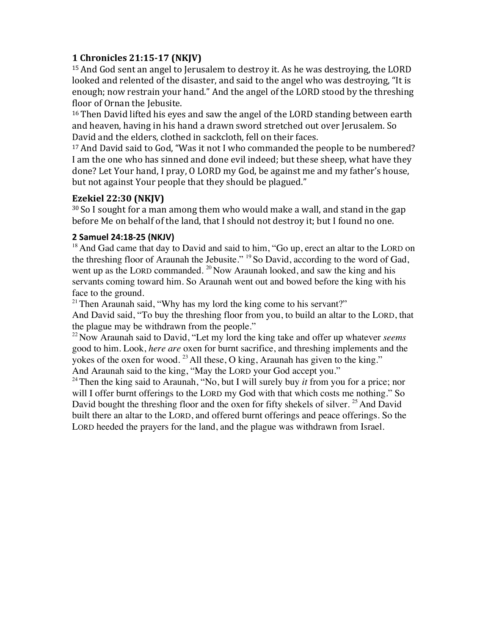#### **1 Chronicles 21:15-17 (NKJV)**

 $15$  And God sent an angel to Jerusalem to destroy it. As he was destroying, the LORD looked and relented of the disaster, and said to the angel who was destroying, "It is enough; now restrain your hand." And the angel of the LORD stood by the threshing floor of Ornan the Jebusite.

<sup>16</sup> Then David lifted his eyes and saw the angel of the LORD standing between earth and heaven, having in his hand a drawn sword stretched out over Jerusalem. So David and the elders, clothed in sackcloth, fell on their faces.

<sup>17</sup> And David said to God, "Was it not I who commanded the people to be numbered? I am the one who has sinned and done evil indeed; but these sheep, what have they done? Let Your hand, I pray, O LORD my God, be against me and my father's house, but not against Your people that they should be plagued."

#### **Ezekiel 22:30 (NKJV)**

 $30$  So I sought for a man among them who would make a wall, and stand in the gap before Me on behalf of the land, that I should not destroy it; but I found no one.

#### **2 Samuel 24:18-25 (NKJV)**

 $18$  And Gad came that day to David and said to him, "Go up, erect an altar to the LORD on the threshing floor of Araunah the Jebusite." <sup>19</sup> So David, according to the word of Gad, went up as the LORD commanded.  $^{20}$  Now Araunah looked, and saw the king and his servants coming toward him. So Araunah went out and bowed before the king with his face to the ground.

<sup>21</sup> Then Araunah said, "Why has my lord the king come to his servant?"

And David said, "To buy the threshing floor from you, to build an altar to the LORD, that the plague may be withdrawn from the people."

<sup>22</sup> Now Araunah said to David, "Let my lord the king take and offer up whatever *seems* good to him. Look, *here are* oxen for burnt sacrifice, and threshing implements and the yokes of the oxen for wood. <sup>23</sup> All these, O king, Araunah has given to the king." And Araunah said to the king, "May the LORD your God accept you."

<sup>24</sup> Then the king said to Araunah, "No, but I will surely buy *it* from you for a price; nor will I offer burnt offerings to the LORD my God with that which costs me nothing." So David bought the threshing floor and the oxen for fifty shekels of silver.<sup>25</sup> And David built there an altar to the LORD, and offered burnt offerings and peace offerings. So the LORD heeded the prayers for the land, and the plague was withdrawn from Israel.